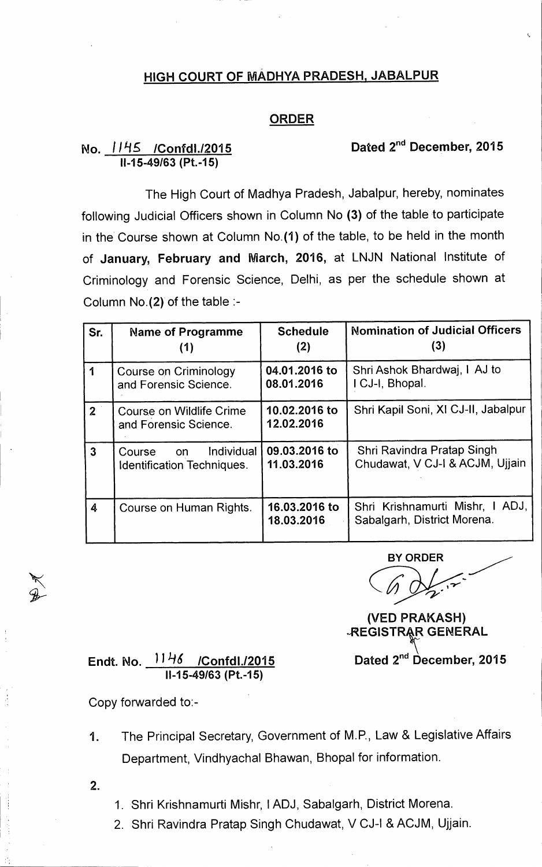## **HIGH COURT OF MADHYA PRADESH, JABALPUR**

## **ORDER**

## No. 1145 /Confdl./2015 **Dated 2<sup>nd</sup> December, 2015 11-15-49/63 (Pt.-15)**

The High Court of Madhya Pradesh, Jabalpur, hereby, nominates following Judicial Officers shown in Column No **(3)** of the table to participate in the Course shown at Column No.(1) of the table, to be held in the month of **January, February and March, 2016,** at LNJN National Institute of Criminology and Forensic Science, Delhi, as per the schedule shown at Column No.(2) of the table :-

| Sr.            | <b>Name of Programme</b>                                        | <b>Schedule</b><br>(2)      | <b>Nomination of Judicial Officers</b><br>(3)                  |
|----------------|-----------------------------------------------------------------|-----------------------------|----------------------------------------------------------------|
|                | <b>Course on Criminology</b><br>and Forensic Science.           | 04.01.2016 to<br>08.01.2016 | Shri Ashok Bhardwaj, I AJ to<br>I CJ-I, Bhopal.                |
| 2 <sup>1</sup> | Course on Wildlife Crime<br>and Forensic Science.               | 10.02.2016 to<br>12.02.2016 | Shri Kapil Soni, XI CJ-II, Jabalpur                            |
| 3              | Individual<br>Course<br><b>on</b><br>Identification Techniques. | 09.03.2016 to<br>11.03.2016 | Shri Ravindra Pratap Singh<br>Chudawat, V CJ-I & ACJM, Ujjain  |
| 4              | Course on Human Rights.                                         | 16.03.2016 to<br>18.03.2016 | Shri Krishnamurti Mishr, I ADJ,<br>Sabalgarh, District Morena. |

**BY ORDER** 

**(VED PRAKASH) -REGISTRAR GENERAL** 

## **Endt. No. 1) LIS /Confdl./2015 Dated 2ndDecember, 2015 11-15-49/63 (Pt.-15)**

Copy forwarded to:-

- 1. The Principal Secretary, Government of M.P., Law & Legislative Affairs Department, Vindhyachal Bhawan, Bhopal for information.
- 2.
- 1. Shri Krishnamurti Mishr, I ADJ, Sabalgarh, District Morena.
- 2. Shri Ravindra Pratap Singh Chudawat, V CJ-I & ACJM, Ujjain.